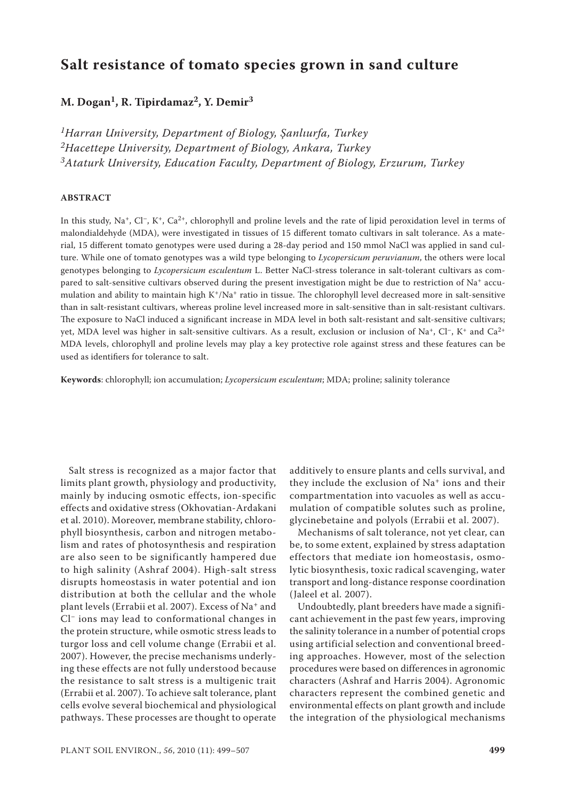# **Salt resistance of tomato species grown in sand culture**

## M. Dogan<sup>1</sup>, R. Tipirdamaz<sup>2</sup>, Y. Demir<sup>3</sup>

*1Harran University, Department of Biology, Şanlıurfa, Turkey 2Hacettepe University, Department of Biology, Ankara, Turkey 3Ataturk University, Education Faculty, Department of Biology, Erzurum, Turkey*

#### **ABSTRACT**

In this study, Na<sup>+</sup>, Cl<sup>-</sup>, K<sup>+</sup>, Ca<sup>2+</sup>, chlorophyll and proline levels and the rate of lipid peroxidation level in terms of malondialdehyde (MDA), were investigated in tissues of 15 different tomato cultivars in salt tolerance. As a material, 15 different tomato genotypes were used during a 28-day period and 150 mmol NaCl was applied in sand culture. While one of tomato genotypes was a wild type belonging to *Lycopersicum peruvianum*, the others were local genotypes belonging to *Lycopersicum esculentum* L. Better NaCl-stress tolerance in salt-tolerant cultivars as compared to salt-sensitive cultivars observed during the present investigation might be due to restriction of Na+ accumulation and ability to maintain high  $K^+/Na^+$  ratio in tissue. The chlorophyll level decreased more in salt-sensitive than in salt-resistant cultivars, whereas proline level increased more in salt-sensitive than in salt-resistant cultivars. The exposure to NaCl induced a significant increase in MDA level in both salt-resistant and salt-sensitive cultivars; yet, MDA level was higher in salt-sensitive cultivars. As a result, exclusion or inclusion of Na<sup>+</sup>, Cl<sup>-</sup>, K<sup>+</sup> and Ca<sup>2+</sup> MDA levels, chlorophyll and proline levels may play a key protective role against stress and these features can be used as identifiers for tolerance to salt.

**Keywords**: chlorophyll; ion accumulation; *Lycopersicum esculentum*; MDA; proline; salinity tolerance

Salt stress is recognized as a major factor that limits plant growth, physiology and productivity, mainly by inducing osmotic effects, ion-specific effects and oxidative stress (Okhovatian-Ardakani et al. 2010). Moreover, membrane stability, chlorophyll biosynthesis, carbon and nitrogen metabolism and rates of photosynthesis and respiration are also seen to be significantly hampered due to high salinity (Ashraf 2004). High-salt stress disrupts homeostasis in water potential and ion distribution at both the cellular and the whole plant levels (Errabii et al. 2007). Excess of Na+ and Cl− ions may lead to conformational changes in the protein structure, while osmotic stress leads to turgor loss and cell volume change (Errabii et al. 2007). However, the precise mechanisms underlying these effects are not fully understood because the resistance to salt stress is a multigenic trait (Errabii et al. 2007). To achieve salt tolerance, plant cells evolve several biochemical and physiological pathways. These processes are thought to operate

additively to ensure plants and cells survival, and they include the exclusion of Na<sup>+</sup> ions and their compartmentation into vacuoles as well as accumulation of compatible solutes such as proline, glycinebetaine and polyols (Errabii et al. 2007).

Mechanisms of salt tolerance, not yet clear, can be, to some extent, explained by stress adaptation effectors that mediate ion homeostasis, osmolytic biosynthesis, toxic radical scavenging, water transport and long-distance response coordination (Jaleel et al. 2007).

Undoubtedly, plant breeders have made a significant achievement in the past few years, improving the salinity tolerance in a number of potential crops using artificial selection and conventional breeding approaches. However, most of the selection procedures were based on differences in agronomic characters (Ashraf and Harris 2004). Agronomic characters represent the combined genetic and environmental effects on plant growth and include the integration of the physiological mechanisms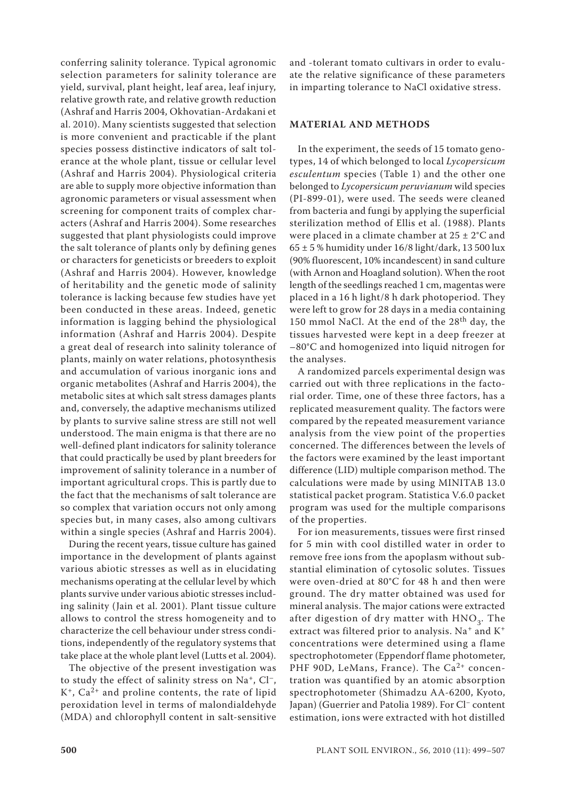conferring salinity tolerance. Typical agronomic selection parameters for salinity tolerance are yield, survival, plant height, leaf area, leaf injury, relative growth rate, and relative growth reduction (Ashraf and Harris 2004, Okhovatian-Ardakani et al. 2010). Many scientists suggested that selection is more convenient and practicable if the plant species possess distinctive indicators of salt tolerance at the whole plant, tissue or cellular level (Ashraf and Harris 2004). Physiological criteria are able to supply more objective information than agronomic parameters or visual assessment when screening for component traits of complex characters (Ashraf and Harris 2004). Some researches suggested that plant physiologists could improve the salt tolerance of plants only by defining genes or characters for geneticists or breeders to exploit (Ashraf and Harris 2004). However, knowledge of heritability and the genetic mode of salinity tolerance is lacking because few studies have yet been conducted in these areas. Indeed, genetic information is lagging behind the physiological information (Ashraf and Harris 2004). Despite a great deal of research into salinity tolerance of plants, mainly on water relations, photosynthesis and accumulation of various inorganic ions and organic metabolites (Ashraf and Harris 2004), the metabolic sites at which salt stress damages plants and, conversely, the adaptive mechanisms utilized by plants to survive saline stress are still not well understood. The main enigma is that there are no well-defined plant indicators for salinity tolerance that could practically be used by plant breeders for improvement of salinity tolerance in a number of important agricultural crops. This is partly due to the fact that the mechanisms of salt tolerance are so complex that variation occurs not only among species but, in many cases, also among cultivars within a single species (Ashraf and Harris 2004).

During the recent years, tissue culture has gained importance in the development of plants against various abiotic stresses as well as in elucidating mechanisms operating at the cellular level by which plants survive under various abiotic stresses including salinity (Jain et al. 2001). Plant tissue culture allows to control the stress homogeneity and to characterize the cell behaviour under stress conditions, independently of the regulatory systems that take place at the whole plant level (Lutts et al. 2004).

The objective of the present investigation was to study the effect of salinity stress on Na<sup>+</sup>, Cl<sup>-</sup>,  $K^+$ , Ca<sup>2+</sup> and proline contents, the rate of lipid peroxidation level in terms of malondialdehyde (MDA) and chlorophyll content in salt-sensitive and -tolerant tomato cultivars in order to evaluate the relative significance of these parameters in imparting tolerance to NaCl oxidative stress.

#### **MATERIAL AND METHODS**

In the experiment, the seeds of 15 tomato genotypes, 14 of which belonged to local *Lycopersicum esculentum* species (Table 1) and the other one belonged to *Lycopersicum peruvianum* wild species (PI-899-01), were used. The seeds were cleaned from bacteria and fungi by applying the superficial sterilization method of Ellis et al. (1988). Plants were placed in a climate chamber at 25 ± 2°C and  $65 \pm 5$ % humidity under  $16/8$  light/dark, 13 500 lux (90% fluorescent, 10% incandescent) in sand culture (with Arnon and Hoagland solution). When the root length of the seedlings reached 1 cm, magentas were placed in a 16 h light/8 h dark photoperiod. They were left to grow for 28 days in a media containing 150 mmol NaCl. At the end of the 28<sup>th</sup> day, the tissues harvested were kept in a deep freezer at –80°C and homogenized into liquid nitrogen for the analyses.

A randomized parcels experimental design was carried out with three replications in the factorial order. Time, one of these three factors, has a replicated measurement quality. The factors were compared by the repeated measurement variance analysis from the view point of the properties concerned. The differences between the levels of the factors were examined by the least important difference (LID) multiple comparison method. The calculations were made by using MINITAB 13.0 statistical packet program. Statistica V.6.0 packet program was used for the multiple comparisons of the properties.

For ion measurements, tissues were first rinsed for 5 min with cool distilled water in order to remove free ions from the apoplasm without substantial elimination of cytosolic solutes. Tissues were oven-dried at 80°C for 48 h and then were ground. The dry matter obtained was used for mineral analysis. The major cations were extracted after digestion of dry matter with  $HNO<sub>3</sub>$ . The extract was filtered prior to analysis. Na<sup>+</sup> and K<sup>+</sup> concentrations were determined using a flame spectrophotometer (Eppendorf flame photometer, PHF 90D, LeMans, France). The  $Ca^{2+}$  concentration was quantified by an atomic absorption spectrophotometer (Shimadzu AA-6200, Kyoto, Japan) (Guerrier and Patolia 1989). For Cl− content estimation, ions were extracted with hot distilled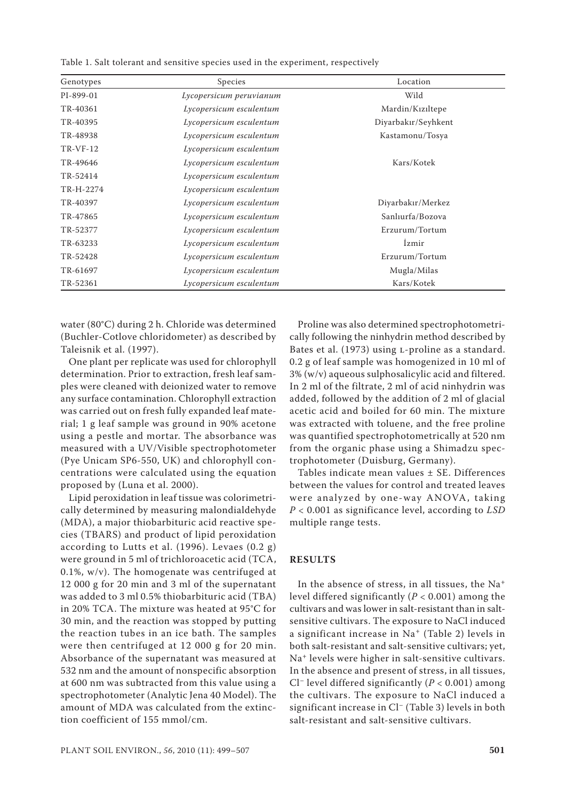| Table 1. Salt tolerant and sensitive species used in the experiment, respectively |  |  |  |  |  |  |  |  |  |  |  |  |
|-----------------------------------------------------------------------------------|--|--|--|--|--|--|--|--|--|--|--|--|
|-----------------------------------------------------------------------------------|--|--|--|--|--|--|--|--|--|--|--|--|

| Genotypes       | Species                 | Location            |
|-----------------|-------------------------|---------------------|
| PI-899-01       | Lycopersicum peruvianum | Wild                |
| TR-40361        | Lycopersicum esculentum | Mardin/Kiziltepe    |
| TR-40395        | Lycopersicum esculentum | Diyarbakır/Seyhkent |
| TR-48938        | Lycopersicum esculentum | Kastamonu/Tosya     |
| <b>TR-VF-12</b> | Lycopersicum esculentum |                     |
| TR-49646        | Lycopersicum esculentum | Kars/Kotek          |
| TR-52414        | Lycopersicum esculentum |                     |
| TR-H-2274       | Lycopersicum esculentum |                     |
| TR-40397        | Lycopersicum esculentum | Diyarbakır/Merkez   |
| TR-47865        | Lycopersicum esculentum | Sanlıurfa/Bozova    |
| TR-52377        | Lycopersicum esculentum | Erzurum/Tortum      |
| TR-63233        | Lycopersicum esculentum | Izmir               |
| TR-52428        | Lycopersicum esculentum | Erzurum/Tortum      |
| TR-61697        | Lycopersicum esculentum | Mugla/Milas         |
| TR-52361        | Lycopersicum esculentum | Kars/Kotek          |

water (80°C) during 2 h. Chloride was determined (Buchler-Cotlove chloridometer) as described by Taleisnik et al. (1997).

One plant per replicate was used for chlorophyll determination. Prior to extraction, fresh leaf samples were cleaned with deionized water to remove any surface contamination. Chlorophyll extraction was carried out on fresh fully expanded leaf material; 1 g leaf sample was ground in 90% acetone using a pestle and mortar. The absorbance was measured with a UV/Visible spectrophotometer (Pye Unicam SP6-550, UK) and chlorophyll concentrations were calculated using the equation proposed by (Luna et al. 2000).

Lipid peroxidation in leaf tissue was colorimetrically determined by measuring malondialdehyde (MDA), a major thiobarbituric acid reactive species (TBARS) and product of lipid peroxidation according to Lutts et al.  $(1996)$ . Levaes  $(0.2 g)$ were ground in 5 ml of trichloroacetic acid (TCA, 0.1%, w/v). The homogenate was centrifuged at 12 000 g for 20 min and 3 ml of the supernatant was added to 3 ml 0.5% thiobarbituric acid (TBA) in 20% TCA. The mixture was heated at 95°C for 30 min, and the reaction was stopped by putting the reaction tubes in an ice bath. The samples were then centrifuged at 12 000 g for 20 min. Absorbance of the supernatant was measured at 532 nm and the amount of nonspecific absorption at 600 nm was subtracted from this value using a spectrophotometer (Analytic Jena 40 Model). The amount of MDA was calculated from the extinction coefficient of 155 mmol/cm.

Proline was also determined spectrophotometrically following the ninhydrin method described by Bates et al. (1973) using L-proline as a standard. 0.2 g of leaf sample was homogenized in 10 ml of 3% (w/v) aqueous sulphosalicylic acid and filtered. In 2 ml of the filtrate, 2 ml of acid ninhydrin was added, followed by the addition of 2 ml of glacial acetic acid and boiled for 60 min. The mixture was extracted with toluene, and the free proline was quantified spectrophotometrically at 520 nm from the organic phase using a Shimadzu spectrophotometer (Duisburg, Germany).

Tables indicate mean values ± SE. Differences between the values for control and treated leaves were analyzed by one-way ANOVA, taking *P* < 0.001 as significance level, according to *LSD* multiple range tests.

#### **RESULTS**

In the absence of stress, in all tissues, the Na<sup>+</sup> level differed significantly (*P* < 0.001) among the cultivars and was lower in salt-resistant than in saltsensitive cultivars. The exposure to NaCl induced a significant increase in Na+ (Table 2) levels in both salt-resistant and salt-sensitive cultivars; yet, Na+ levels were higher in salt-sensitive cultivars. In the absence and present of stress, in all tissues, Cl− level differed significantly (*P* < 0.001) among the cultivars. The exposure to NaCl induced a significant increase in Cl− (Table 3) levels in both salt-resistant and salt-sensitive cultivars.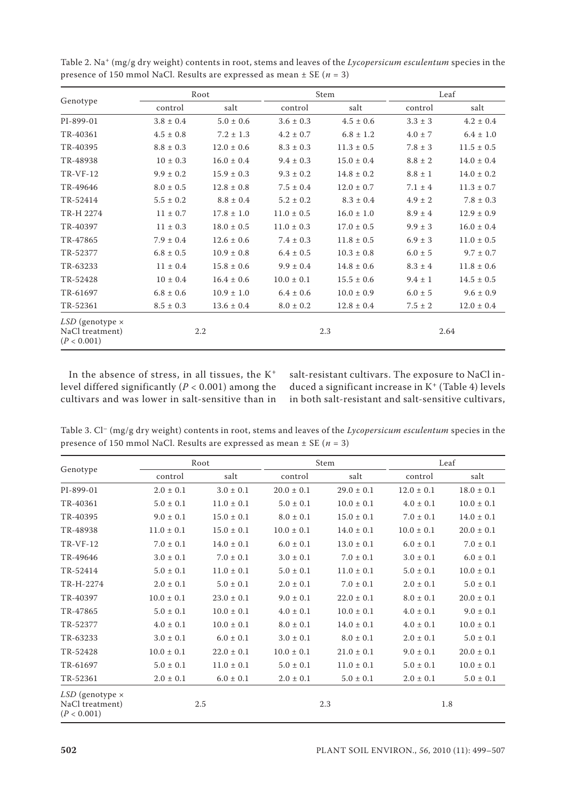|                                                            |               | Root           |                | Stem           |             | Leaf           |
|------------------------------------------------------------|---------------|----------------|----------------|----------------|-------------|----------------|
| Genotype                                                   | control       | salt           | control        | salt           | control     | salt           |
| PI-899-01                                                  | $3.8 \pm 0.4$ | $5.0 \pm 0.6$  | $3.6 \pm 0.3$  | $4.5 \pm 0.6$  | $3.3 \pm 3$ | $4.2 \pm 0.4$  |
| TR-40361                                                   | $4.5 \pm 0.8$ | $7.2 \pm 1.3$  | $4.2 \pm 0.7$  | $6.8 \pm 1.2$  | $4.0 \pm 7$ | $6.4 \pm 1.0$  |
| TR-40395                                                   | $8.8 \pm 0.3$ | $12.0 \pm 0.6$ | $8.3 \pm 0.3$  | $11.3 \pm 0.5$ | $7.8 \pm 3$ | $11.5 \pm 0.5$ |
| TR-48938                                                   | $10 \pm 0.3$  | $16.0 \pm 0.4$ | $9.4 \pm 0.3$  | $15.0 \pm 0.4$ | $8.8 \pm 2$ | $14.0 \pm 0.4$ |
| <b>TR-VF-12</b>                                            | $9.9 \pm 0.2$ | $15.9 \pm 0.3$ | $9.3 \pm 0.2$  | $14.8 \pm 0.2$ | $8.8 \pm 1$ | $14.0 \pm 0.2$ |
| TR-49646                                                   | $8.0 \pm 0.5$ | $12.8 \pm 0.8$ | $7.5 \pm 0.4$  | $12.0 \pm 0.7$ | $7.1 \pm 4$ | $11.3 \pm 0.7$ |
| TR-52414                                                   | $5.5 \pm 0.2$ | $8.8 \pm 0.4$  | $5.2 \pm 0.2$  | $8.3 \pm 0.4$  | $4.9 \pm 2$ | $7.8 \pm 0.3$  |
| TR-H 2274                                                  | $11 \pm 0.7$  | $17.8 \pm 1.0$ | $11.0 \pm 0.5$ | $16.0 \pm 1.0$ | $8.9 \pm 4$ | $12.9 \pm 0.9$ |
| TR-40397                                                   | $11 \pm 0.3$  | $18.0 \pm 0.5$ | $11.0 \pm 0.3$ | $17.0 \pm 0.5$ | $9.9 \pm 3$ | $16.0 \pm 0.4$ |
| TR-47865                                                   | $7.9 \pm 0.4$ | $12.6 \pm 0.6$ | $7.4 \pm 0.3$  | $11.8 \pm 0.5$ | $6.9 \pm 3$ | $11.0 \pm 0.5$ |
| TR-52377                                                   | $6.8 \pm 0.5$ | $10.9 \pm 0.8$ | $6.4 \pm 0.5$  | $10.3\pm0.8$   | $6.0 \pm 5$ | $9.7 \pm 0.7$  |
| TR-63233                                                   | $11 \pm 0.4$  | $15.8 \pm 0.6$ | $9.9 \pm 0.4$  | $14.8 \pm 0.6$ | $8.3 \pm 4$ | $11.8 \pm 0.6$ |
| TR-52428                                                   | $10 \pm 0.4$  | $16.4 \pm 0.6$ | $10.0 \pm 0.1$ | $15.5 \pm 0.6$ | $9.4 \pm 1$ | $14.5 \pm 0.5$ |
| TR-61697                                                   | $6.8 \pm 0.6$ | $10.9 \pm 1.0$ | $6.4 \pm 0.6$  | $10.0 \pm 0.9$ | $6.0\pm5$   | $9.6 \pm 0.9$  |
| TR-52361                                                   | $8.5 \pm 0.3$ | $13.6 \pm 0.4$ | $8.0 \pm 0.2$  | $12.8 \pm 0.4$ | $7.5 \pm 2$ | $12.0 \pm 0.4$ |
| $LSD$ (genotype $\times$<br>NaCl treatment)<br>(P < 0.001) |               | 2.2            |                | 2.3            |             | 2.64           |

Table 2. Na<sup>+</sup> (mg/g dry weight) contents in root, stems and leaves of the *Lycopersicum esculentum* species in the presence of 150 mmol NaCl. Results are expressed as mean ± SE (*n* = 3)

In the absence of stress, in all tissues, the K<sup>+</sup> level differed significantly (*P* < 0.001) among the cultivars and was lower in salt-sensitive than in salt-resistant cultivars. The exposure to NaCl induced a significant increase in  $K^+$  (Table 4) levels in both salt-resistant and salt-sensitive cultivars,

Table 3. Cl– (mg/g dry weight) contents in root, stems and leaves of the *Lycopersicum esculentum* species in the presence of 150 mmol NaCl. Results are expressed as mean ± SE (*n* = 3)

|                                                   | Root           |                |                | Stem           | Leaf           |                |
|---------------------------------------------------|----------------|----------------|----------------|----------------|----------------|----------------|
| Genotype                                          | control        | salt           | control        | salt           | control        | salt           |
| PI-899-01                                         | $2.0 \pm 0.1$  | $3.0 \pm 0.1$  | $20.0 \pm 0.1$ | $29.0 \pm 0.1$ | $12.0 \pm 0.1$ | $18.0 \pm 0.1$ |
| TR-40361                                          | $5.0 \pm 0.1$  | $11.0 \pm 0.1$ | $5.0 \pm 0.1$  | $10.0 \pm 0.1$ | $4.0 \pm 0.1$  | $10.0 \pm 0.1$ |
| TR-40395                                          | $9.0 \pm 0.1$  | $15.0 \pm 0.1$ | $8.0 \pm 0.1$  | $15.0\pm0.1$   | $7.0 \pm 0.1$  | $14.0 \pm 0.1$ |
| TR-48938                                          | $11.0 \pm 0.1$ | $15.0 \pm 0.1$ | $10.0 \pm 0.1$ | $14.0 \pm 0.1$ | $10.0 \pm 0.1$ | $20.0 \pm 0.1$ |
| <b>TR-VF-12</b>                                   | $7.0 \pm 0.1$  | $14.0 \pm 0.1$ | $6.0 \pm 0.1$  | $13.0 \pm 0.1$ | $6.0 \pm 0.1$  | $7.0 \pm 0.1$  |
| TR-49646                                          | $3.0 \pm 0.1$  | $7.0 \pm 0.1$  | $3.0 \pm 0.1$  | $7.0 \pm 0.1$  | $3.0 \pm 0.1$  | $6.0 \pm 0.1$  |
| TR-52414                                          | $5.0 \pm 0.1$  | $11.0 \pm 0.1$ | $5.0 \pm 0.1$  | $11.0 \pm 0.1$ | $5.0 \pm 0.1$  | $10.0 \pm 0.1$ |
| TR-H-2274                                         | $2.0 \pm 0.1$  | $5.0 \pm 0.1$  | $2.0 \pm 0.1$  | $7.0 \pm 0.1$  | $2.0 \pm 0.1$  | $5.0 \pm 0.1$  |
| TR-40397                                          | $10.0 \pm 0.1$ | $23.0 \pm 0.1$ | $9.0 \pm 0.1$  | $22.0 \pm 0.1$ | $8.0 \pm 0.1$  | $20.0 \pm 0.1$ |
| TR-47865                                          | $5.0 \pm 0.1$  | $10.0 \pm 0.1$ | $4.0 \pm 0.1$  | $10.0\pm0.1$   | $4.0 \pm 0.1$  | $9.0 \pm 0.1$  |
| TR-52377                                          | $4.0 \pm 0.1$  | $10.0 \pm 0.1$ | $8.0 \pm 0.1$  | $14.0 \pm 0.1$ | $4.0 \pm 0.1$  | $10.0 \pm 0.1$ |
| TR-63233                                          | $3.0 \pm 0.1$  | $6.0 \pm 0.1$  | $3.0\pm0.1$    | $8.0 \pm 0.1$  | $2.0 \pm 0.1$  | $5.0 \pm 0.1$  |
| TR-52428                                          | $10.0 \pm 0.1$ | $22.0 \pm 0.1$ | $10.0 \pm 0.1$ | $21.0 \pm 0.1$ | $9.0 \pm 0.1$  | $20.0 \pm 0.1$ |
| TR-61697                                          | $5.0 \pm 0.1$  | $11.0 \pm 0.1$ | $5.0 \pm 0.1$  | $11.0\pm0.1$   | $5.0 \pm 0.1$  | $10.0 \pm 0.1$ |
| TR-52361                                          | $2.0 \pm 0.1$  | $6.0 \pm 0.1$  | $2.0 \pm 0.1$  | $5.0 \pm 0.1$  | $2.0 \pm 0.1$  | $5.0 \pm 0.1$  |
| LSD (genotype x<br>NaCl treatment)<br>(P < 0.001) |                | 2.5            |                | 2.3            |                | 1.8            |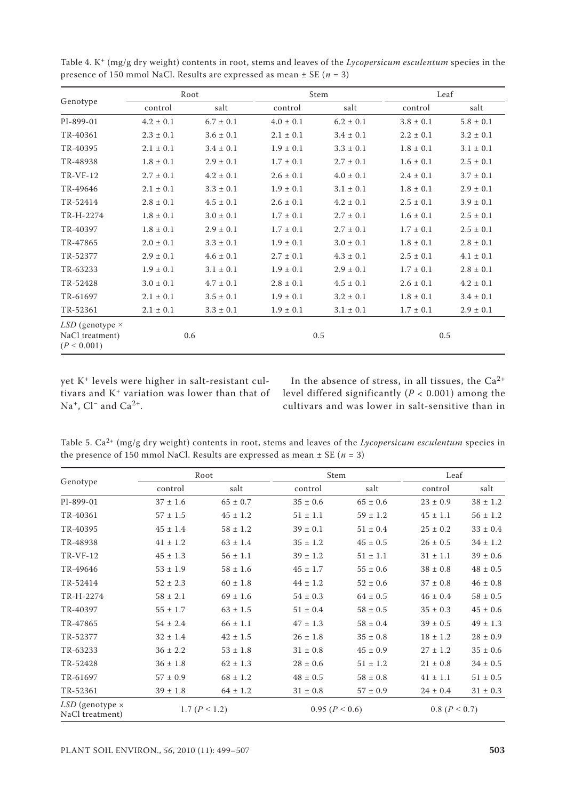|                                                            | Root            |               |               | Stem          |               | Leaf          |  |
|------------------------------------------------------------|-----------------|---------------|---------------|---------------|---------------|---------------|--|
| Genotype                                                   | control         | salt          | control       | salt          | control       | salt          |  |
| PI-899-01                                                  | $4.2 \pm 0.1$   | $6.7 \pm 0.1$ | $4.0 \pm 0.1$ | $6.2 \pm 0.1$ | $3.8 \pm 0.1$ | $5.8 \pm 0.1$ |  |
| TR-40361                                                   | $2.3 \pm 0.1$   | $3.6 \pm 0.1$ | $2.1 \pm 0.1$ | $3.4 \pm 0.1$ | $2.2 \pm 0.1$ | $3.2 \pm 0.1$ |  |
| TR-40395                                                   | $2.1 \pm 0.1$   | $3.4 \pm 0.1$ | $1.9 \pm 0.1$ | $3.3\pm0.1$   | $1.8 \pm 0.1$ | $3.1\pm0.1$   |  |
| TR-48938                                                   | $1.8\,\pm\,0.1$ | $2.9 \pm 0.1$ | $1.7\pm0.1$   | $2.7\pm0.1$   | $1.6 \pm 0.1$ | $2.5\pm0.1$   |  |
| <b>TR-VF-12</b>                                            | $2.7 \pm 0.1$   | $4.2 \pm 0.1$ | $2.6 \pm 0.1$ | $4.0 \pm 0.1$ | $2.4 \pm 0.1$ | $3.7 \pm 0.1$ |  |
| TR-49646                                                   | $2.1 \pm 0.1$   | $3.3 \pm 0.1$ | $1.9 \pm 0.1$ | $3.1 \pm 0.1$ | $1.8 \pm 0.1$ | $2.9 \pm 0.1$ |  |
| TR-52414                                                   | $2.8 \pm 0.1$   | $4.5 \pm 0.1$ | $2.6 \pm 0.1$ | $4.2 \pm 0.1$ | $2.5 \pm 0.1$ | $3.9 \pm 0.1$ |  |
| TR-H-2274                                                  | $1.8 \pm 0.1$   | $3.0\pm0.1$   | $1.7 \pm 0.1$ | $2.7 \pm 0.1$ | $1.6 \pm 0.1$ | $2.5 \pm 0.1$ |  |
| TR-40397                                                   | $1.8 \pm 0.1$   | $2.9 \pm 0.1$ | $1.7 \pm 0.1$ | $2.7 \pm 0.1$ | $1.7 \pm 0.1$ | $2.5 \pm 0.1$ |  |
| TR-47865                                                   | $2.0 \pm 0.1$   | $3.3\pm0.1$   | $1.9 \pm 0.1$ | $3.0 \pm 0.1$ | $1.8\pm0.1$   | $2.8\pm0.1$   |  |
| TR-52377                                                   | $2.9 \pm 0.1$   | $4.6 \pm 0.1$ | $2.7 \pm 0.1$ | $4.3\pm0.1$   | $2.5 \pm 0.1$ | $4.1 \pm 0.1$ |  |
| TR-63233                                                   | $1.9 \pm 0.1$   | $3.1 \pm 0.1$ | $1.9 \pm 0.1$ | $2.9 \pm 0.1$ | $1.7 \pm 0.1$ | $2.8 \pm 0.1$ |  |
| TR-52428                                                   | $3.0 \pm 0.1$   | $4.7 \pm 0.1$ | $2.8 \pm 0.1$ | $4.5 \pm 0.1$ | $2.6 \pm 0.1$ | $4.2 \pm 0.1$ |  |
| TR-61697                                                   | $2.1 \pm 0.1$   | $3.5 \pm 0.1$ | $1.9 \pm 0.1$ | $3.2 \pm 0.1$ | $1.8 \pm 0.1$ | $3.4 \pm 0.1$ |  |
| TR-52361                                                   | $2.1 \pm 0.1$   | $3.3\pm0.1$   | $1.9 \pm 0.1$ | $3.1 \pm 0.1$ | $1.7 \pm 0.1$ | $2.9 \pm 0.1$ |  |
| $LSD$ (genotype $\times$<br>NaCl treatment)<br>(P < 0.001) |                 | 0.6           |               | 0.5           | 0.5           |               |  |

Table 4. K+ (mg/g dry weight) contents in root, stems and leaves of the *Lycopersicum esculentum* species in the presence of 150 mmol NaCl. Results are expressed as mean ± SE (*n* = 3)

yet K+ levels were higher in salt-resistant cultivars and K+ variation was lower than that of Na<sup>+</sup>, Cl<sup>−</sup> and Ca<sup>2+</sup>.

In the absence of stress, in all tissues, the  $Ca^{2+}$ level differed significantly (*P* < 0.001) among the cultivars and was lower in salt-sensitive than in

Table 5. Ca2+ (mg/g dry weight) contents in root, stems and leaves of the *Lycopersicum esculentum* species in the presence of 150 mmol NaCl. Results are expressed as mean  $\pm$  SE ( $n = 3$ )

|                                    |                 | Root         | Stem         |                | Leaf         |               |  |
|------------------------------------|-----------------|--------------|--------------|----------------|--------------|---------------|--|
| Genotype                           | control         | salt         | control      | salt           | control      | salt          |  |
| PI-899-01                          | $37 \pm 1.6$    | $65 \pm 0.7$ | $35 \pm 0.6$ | $65 \pm 0.6$   | $23 \pm 0.9$ | $38 \pm 1.2$  |  |
| TR-40361                           | $57 \pm 1.5$    | $45 \pm 1.2$ | $51 \pm 1.1$ | $59 \pm 1.2$   | $45 \pm 1.1$ | $56 \pm 1.2$  |  |
| TR-40395                           | $45 \pm 1.4$    | $58 \pm 1.2$ | $39 \pm 0.1$ | $51 \pm 0.4$   | $25 \pm 0.2$ | $33 \pm 0.4$  |  |
| TR-48938                           | $41 \pm 1.2$    | $63 \pm 1.4$ | $35 \pm 1.2$ | $45 \pm 0.5$   | $26 \pm 0.5$ | $34 \pm 1.2$  |  |
| <b>TR-VF-12</b>                    | $45 \pm 1.3$    | $56 \pm 1.1$ | $39 \pm 1.2$ | $51 \pm 1.1$   | $31 \pm 1.1$ | $39 \pm 0.6$  |  |
| TR-49646                           | $53 \pm 1.9$    | $58 \pm 1.6$ | $45 \pm 1.7$ | $55 \pm 0.6$   | $38 \pm 0.8$ | $48 \pm 0.5$  |  |
| TR-52414                           | $52 \pm 2.3$    | $60 \pm 1.8$ | $44 \pm 1.2$ | $52 \pm 0.6$   | $37 \pm 0.8$ | $46 \pm 0.8$  |  |
| TR-H-2274                          | $58 \pm 2.1$    | $69 \pm 1.6$ | $54 \pm 0.3$ | $64 \pm 0.5$   | $46 \pm 0.4$ | $58 \pm 0.5$  |  |
| TR-40397                           | $55 \pm 1.7$    | $63 \pm 1.5$ | $51 \pm 0.4$ | $58 \pm 0.5$   | $35 \pm 0.3$ | $45 \pm 0.6$  |  |
| TR-47865                           | $54 \pm 2.4$    | $66 \pm 1.1$ | $47 \pm 1.3$ | $58 \pm 0.4$   | $39 \pm 0.5$ | $49 \pm 1.3$  |  |
| TR-52377                           | $32 \pm 1.4$    | $42 \pm 1.5$ | $26 \pm 1.8$ | $35 \pm 0.8$   | $18 \pm 1.2$ | $28 \pm 0.9$  |  |
| TR-63233                           | $36 \pm 2.2$    | $53 \pm 1.8$ | $31 \pm 0.8$ | $45 \pm 0.9$   | $27 \pm 1.2$ | $35 \pm 0.6$  |  |
| TR-52428                           | $36 \pm 1.8$    | $62 \pm 1.3$ | $28 \pm 0.6$ | $51 \pm 1.2$   | $21 \pm 0.8$ | $34 \pm 0.5$  |  |
| TR-61697                           | $57 \pm 0.9$    | $68 \pm 1.2$ | $48 \pm 0.5$ | $58 \pm 0.8$   | $41 \pm 1.1$ | $51 \pm 0.5$  |  |
| TR-52361                           | $39 \pm 1.8$    | $64 \pm 1.2$ | $31 \pm 0.8$ | $57 \pm 0.9$   | $24 \pm 0.4$ | $31 \pm 0.3$  |  |
| LSD (genotype x<br>NaCl treatment) | 1.7 $(P < 1.2)$ |              |              | 0.95 (P < 0.6) |              | 0.8 (P < 0.7) |  |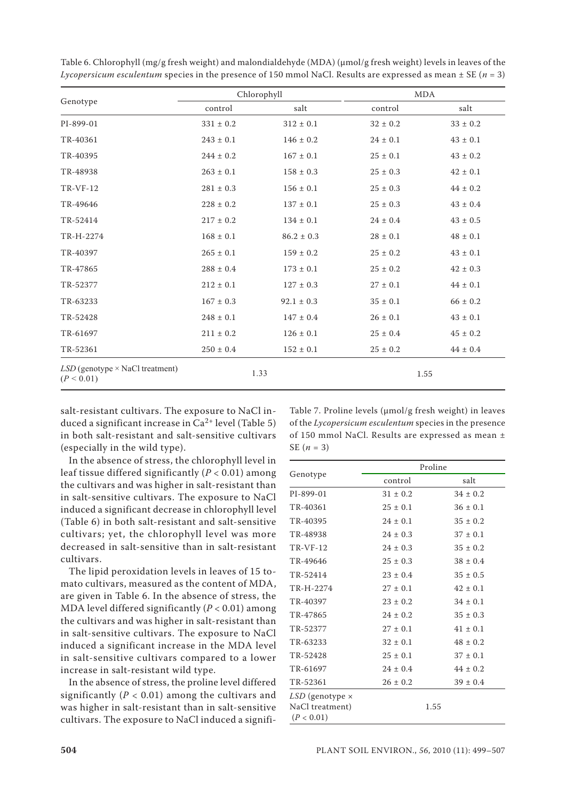|                                                        |               | Chlorophyll    |              | <b>MDA</b>   |
|--------------------------------------------------------|---------------|----------------|--------------|--------------|
| Genotype                                               | control       | salt           | control      | salt         |
| PI-899-01                                              | $331 \pm 0.2$ | $312 \pm 0.1$  | $32 \pm 0.2$ | $33 \pm 0.2$ |
| TR-40361                                               | $243 \pm 0.1$ | $146 \pm 0.2$  | $24 \pm 0.1$ | $43 \pm 0.1$ |
| TR-40395                                               | $244 \pm 0.2$ | $167 \pm 0.1$  | $25 \pm 0.1$ | $43 \pm 0.2$ |
| TR-48938                                               | $263 \pm 0.1$ | $158 \pm 0.3$  | $25 \pm 0.3$ | $42 \pm 0.1$ |
| <b>TR-VF-12</b>                                        | $281 \pm 0.3$ | $156 \pm 0.1$  | $25 \pm 0.3$ | $44 \pm 0.2$ |
| TR-49646                                               | $228 \pm 0.2$ | $137 \pm 0.1$  | $25 \pm 0.3$ | $43 \pm 0.4$ |
| TR-52414                                               | $217 \pm 0.2$ | $134 \pm 0.1$  | $24 \pm 0.4$ | $43 \pm 0.5$ |
| TR-H-2274                                              | $168 \pm 0.1$ | $86.2 \pm 0.3$ | $28 \pm 0.1$ | $48 \pm 0.1$ |
| TR-40397                                               | $265 \pm 0.1$ | $159 \pm 0.2$  | $25 \pm 0.2$ | $43 \pm 0.1$ |
| TR-47865                                               | $288 \pm 0.4$ | $173 \pm 0.1$  | $25 \pm 0.2$ | $42 \pm 0.3$ |
| TR-52377                                               | $212 \pm 0.1$ | $127 \pm 0.3$  | $27 \pm 0.1$ | $44 \pm 0.1$ |
| TR-63233                                               | $167 \pm 0.3$ | $92.1 \pm 0.3$ | $35 \pm 0.1$ | $66 \pm 0.2$ |
| TR-52428                                               | $248 \pm 0.1$ | $147 \pm 0.4$  | $26 \pm 0.1$ | $43 \pm 0.1$ |
| TR-61697                                               | $211 \pm 0.2$ | $126 \pm 0.1$  | $25 \pm 0.4$ | $45 \pm 0.2$ |
| TR-52361                                               | $250 \pm 0.4$ | $152 \pm 0.1$  | $25 \pm 0.2$ | $44 \pm 0.4$ |
| $LSD$ (genotype $\times$ NaCl treatment)<br>(P < 0.01) |               | 1.33           |              | 1.55         |

Table 6. Chlorophyll (mg/g fresh weight) and malondialdehyde (MDA) (µmol/g fresh weight) levels in leaves of the *Lycopersicum esculentum* species in the presence of 150 mmol NaCl. Results are expressed as mean ± SE (*n* = 3)

salt-resistant cultivars. The exposure to NaCl induced a significant increase in  $Ca^{2+}$  level (Table 5) in both salt-resistant and salt-sensitive cultivars (especially in the wild type).

In the absence of stress, the chlorophyll level in leaf tissue differed significantly (*P* < 0.01) among the cultivars and was higher in salt-resistant than in salt-sensitive cultivars. The exposure to NaCl induced a significant decrease in chlorophyll level (Table 6) in both salt-resistant and salt-sensitive cultivars; yet, the chlorophyll level was more decreased in salt-sensitive than in salt-resistant cultivars.

The lipid peroxidation levels in leaves of 15 tomato cultivars, measured as the content of MDA, are given in Table 6. In the absence of stress, the MDA level differed significantly (*P* < 0.01) among the cultivars and was higher in salt-resistant than in salt-sensitive cultivars. The exposure to NaCl induced a significant increase in the MDA level in salt-sensitive cultivars compared to a lower increase in salt-resistant wild type.

In the absence of stress, the proline level differed significantly  $(P < 0.01)$  among the cultivars and was higher in salt-resistant than in salt-sensitive cultivars. The exposure to NaCl induced a signifi-

Table 7. Proline levels (µmol/g fresh weight) in leaves of the *Lycopersicum esculentum* species in the presence of 150 mmol NaCl. Results are expressed as mean ± SE (*n* = 3)

|                                                           | Proline      |              |  |  |  |
|-----------------------------------------------------------|--------------|--------------|--|--|--|
| Genotype                                                  | control      | salt         |  |  |  |
| PI-899-01                                                 | $31 \pm 0.2$ | $34 \pm 0.2$ |  |  |  |
| TR-40361                                                  | $25 \pm 0.1$ | $36 \pm 0.1$ |  |  |  |
| TR-40395                                                  | $24 \pm 0.1$ | $35 \pm 0.2$ |  |  |  |
| TR-48938                                                  | $24 \pm 0.3$ | $37 \pm 0.1$ |  |  |  |
| $TR-VF-12$                                                | $24 \pm 0.3$ | $35 \pm 0.2$ |  |  |  |
| TR-49646                                                  | $25 \pm 0.3$ | $38 \pm 0.4$ |  |  |  |
| TR-52414                                                  | $23 \pm 0.4$ | $35 \pm 0.5$ |  |  |  |
| TR-H-2274                                                 | $27 \pm 0.1$ | $42 \pm 0.1$ |  |  |  |
| TR-40397                                                  | $23 \pm 0.2$ | $34 \pm 0.1$ |  |  |  |
| TR-47865                                                  | $24 \pm 0.2$ | $35 \pm 0.3$ |  |  |  |
| TR-52377                                                  | $27 \pm 0.1$ | $41 \pm 0.1$ |  |  |  |
| TR-63233                                                  | $32 \pm 0.1$ | $48 \pm 0.2$ |  |  |  |
| TR-52428                                                  | $25 \pm 0.1$ | $37 \pm 0.1$ |  |  |  |
| TR-61697                                                  | $24 \pm 0.4$ | $44 \pm 0.2$ |  |  |  |
| TR-52361                                                  | $26 \pm 0.2$ | $39 \pm 0.4$ |  |  |  |
| $LSD$ (genotype $\times$<br>NaCl treatment)<br>(P < 0.01) |              | 1.55         |  |  |  |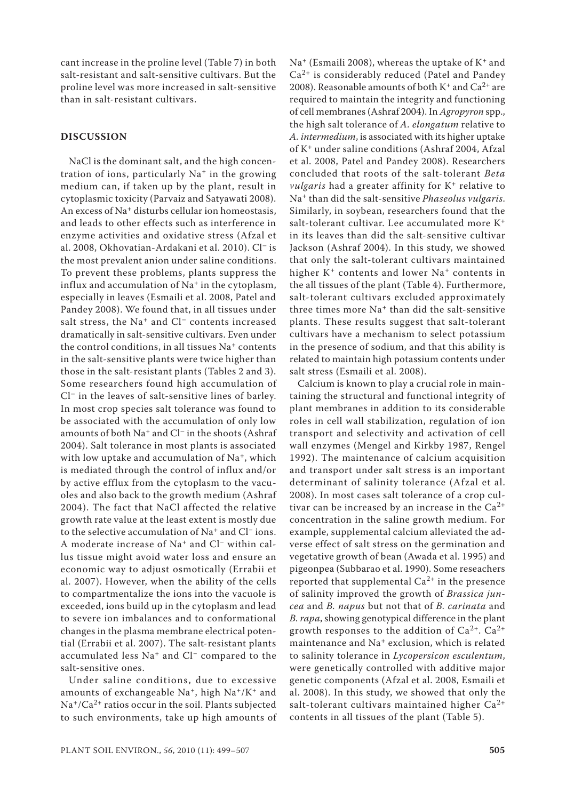cant increase in the proline level (Table 7) in both salt-resistant and salt-sensitive cultivars. But the proline level was more increased in salt-sensitive than in salt-resistant cultivars.

### **DISCUSSION**

NaCl is the dominant salt, and the high concentration of ions, particularly Na+ in the growing medium can, if taken up by the plant, result in cytoplasmic toxicity (Parvaiz and Satyawati 2008). An excess of Na+ disturbs cellular ion homeostasis, and leads to other effects such as interference in enzyme activities and oxidative stress (Afzal et al. 2008, Okhovatian-Ardakani et al. 2010). Cl– is the most prevalent anion under saline conditions. To prevent these problems, plants suppress the influx and accumulation of Na<sup>+</sup> in the cytoplasm, especially in leaves (Esmaili et al. 2008, Patel and Pandey 2008). We found that, in all tissues under salt stress, the Na<sup>+</sup> and Cl<sup>-</sup> contents increased dramatically in salt-sensitive cultivars. Even under the control conditions, in all tissues  $Na<sup>+</sup>$  contents in the salt-sensitive plants were twice higher than those in the salt-resistant plants (Tables 2 and 3). Some researchers found high accumulation of Cl– in the leaves of salt-sensitive lines of barley. In most crop species salt tolerance was found to be associated with the accumulation of only low amounts of both Na+ and Cl– in the shoots (Ashraf 2004). Salt tolerance in most plants is associated with low uptake and accumulation of  $Na^+$ , which is mediated through the control of influx and/or by active efflux from the cytoplasm to the vacuoles and also back to the growth medium (Ashraf 2004). The fact that NaCl affected the relative growth rate value at the least extent is mostly due to the selective accumulation of Na+ and Cl− ions. A moderate increase of Na+ and Cl− within callus tissue might avoid water loss and ensure an economic way to adjust osmotically (Errabii et al. 2007). However, when the ability of the cells to compartmentalize the ions into the vacuole is exceeded, ions build up in the cytoplasm and lead to severe ion imbalances and to conformational changes in the plasma membrane electrical potential (Errabii et al. 2007). The salt-resistant plants accumulated less Na+ and Cl− compared to the salt-sensitive ones.

Under saline conditions, due to excessive amounts of exchangeable Na<sup>+</sup>, high Na<sup>+</sup>/K<sup>+</sup> and  $Na^{+}/Ca^{2+}$  ratios occur in the soil. Plants subjected to such environments, take up high amounts of Na<sup>+</sup> (Esmaili 2008), whereas the uptake of  $K^+$  and Ca2+ is considerably reduced (Patel and Pandey 2008). Reasonable amounts of both  $K^+$  and  $Ca^{2+}$  are required to maintain the integrity and functioning of cell membranes (Ashraf 2004). In *Agropyron* spp., the high salt tolerance of *A. elongatum* relative to *A. intermedium*, is associated with its higher uptake of K+ under saline conditions (Ashraf 2004, Afzal et al. 2008, Patel and Pandey 2008). Researchers concluded that roots of the salt-tolerant *Beta vulgaris* had a greater affinity for K<sup>+</sup> relative to Na+ than did the salt-sensitive *Phaseolus vulgaris*. Similarly, in soybean, researchers found that the salt-tolerant cultivar. Lee accumulated more K<sup>+</sup> in its leaves than did the salt-sensitive cultivar Jackson (Ashraf 2004). In this study, we showed that only the salt-tolerant cultivars maintained higher K<sup>+</sup> contents and lower Na<sup>+</sup> contents in the all tissues of the plant (Table 4). Furthermore, salt-tolerant cultivars excluded approximately three times more Na<sup>+</sup> than did the salt-sensitive plants. These results suggest that salt-tolerant cultivars have a mechanism to select potassium in the presence of sodium, and that this ability is related to maintain high potassium contents under salt stress (Esmaili et al. 2008).

Calcium is known to play a crucial role in maintaining the structural and functional integrity of plant membranes in addition to its considerable roles in cell wall stabilization, regulation of ion transport and selectivity and activation of cell wall enzymes (Mengel and Kirkby 1987, Rengel 1992). The maintenance of calcium acquisition and transport under salt stress is an important determinant of salinity tolerance (Afzal et al. 2008). In most cases salt tolerance of a crop cultivar can be increased by an increase in the  $Ca^{2+}$ concentration in the saline growth medium. For example, supplemental calcium alleviated the adverse effect of salt stress on the germination and vegetative growth of bean (Awada et al. 1995) and pigeonpea (Subbarao et al. 1990). Some reseachers reported that supplemental  $Ca^{2+}$  in the presence of salinity improved the growth of *Brassica juncea* and *B. napus* but not that of *B. carinata* and *B. rapa*, showing genotypical difference in the plant growth responses to the addition of  $Ca^{2+}$ .  $Ca^{2+}$ maintenance and Na<sup>+</sup> exclusion, which is related to salinity tolerance in *Lycopersicon esculentum*, were genetically controlled with additive major genetic components (Afzal et al. 2008, Esmaili et al. 2008). In this study, we showed that only the salt-tolerant cultivars maintained higher  $Ca^{2+}$ contents in all tissues of the plant (Table 5).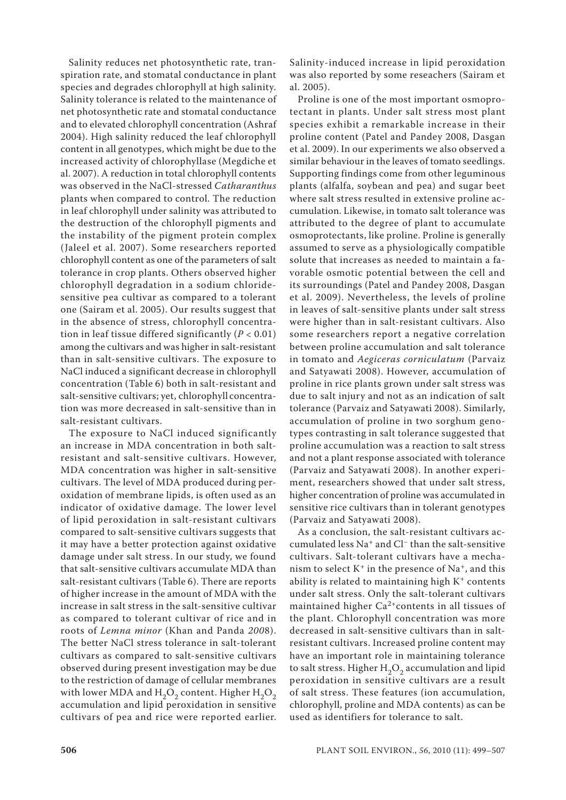Salinity reduces net photosynthetic rate, transpiration rate, and stomatal conductance in plant species and degrades chlorophyll at high salinity. Salinity tolerance is related to the maintenance of net photosynthetic rate and stomatal conductance and to elevated chlorophyll concentration (Ashraf 2004). High salinity reduced the leaf chlorophyll content in all genotypes, which might be due to the increased activity of chlorophyllase (Megdiche et al. 2007). A reduction in total chlorophyll contents was observed in the NaCl-stressed *Catharanthus* plants when compared to control. The reduction in leaf chlorophyll under salinity was attributed to the destruction of the chlorophyll pigments and the instability of the pigment protein complex (Jaleel et al. 2007). Some researchers reported chlorophyll content as one of the parameters of salt tolerance in crop plants. Others observed higher chlorophyll degradation in a sodium chloridesensitive pea cultivar as compared to a tolerant one (Sairam et al. 2005). Our results suggest that in the absence of stress, chlorophyll concentration in leaf tissue differed significantly  $(P < 0.01)$ among the cultivars and was higher in salt-resistant than in salt-sensitive cultivars. The exposure to NaCl induced a significant decrease in chlorophyll concentration (Table 6) both in salt-resistant and salt-sensitive cultivars; yet, chlorophyll concentration was more decreased in salt-sensitive than in salt-resistant cultivars.

The exposure to NaCl induced significantly an increase in MDA concentration in both saltresistant and salt-sensitive cultivars. However, MDA concentration was higher in salt-sensitive cultivars. The level of MDA produced during peroxidation of membrane lipids, is often used as an indicator of oxidative damage. The lower level of lipid peroxidation in salt-resistant cultivars compared to salt-sensitive cultivars suggests that it may have a better protection against oxidative damage under salt stress. In our study, we found that salt-sensitive cultivars accumulate MDA than salt-resistant cultivars (Table 6). There are reports of higher increase in the amount of MDA with the increase in salt stress in the salt-sensitive cultivar as compared to tolerant cultivar of rice and in roots of *Lemna minor* (Khan and Panda *200*8). The better NaCl stress tolerance in salt-tolerant cultivars as compared to salt-sensitive cultivars observed during present investigation may be due to the restriction of damage of cellular membranes with lower MDA and  $H_2O_2$  content. Higher  $H_2O_2$ accumulation and lipid peroxidation in sensitive cultivars of pea and rice were reported earlier.

Salinity-induced increase in lipid peroxidation was also reported by some reseachers (Sairam et al. 2005).

Proline is one of the most important osmoprotectant in plants. Under salt stress most plant species exhibit a remarkable increase in their proline content (Patel and Pandey 2008, Dasgan et al. 2009). In our experiments we also observed a similar behaviour in the leaves of tomato seedlings. Supporting findings come from other leguminous plants (alfalfa, soybean and pea) and sugar beet where salt stress resulted in extensive proline accumulation. Likewise, in tomato salt tolerance was attributed to the degree of plant to accumulate osmoprotectants, like proline. Proline is generally assumed to serve as a physiologically compatible solute that increases as needed to maintain a favorable osmotic potential between the cell and its surroundings (Patel and Pandey 2008, Dasgan et al. 2009). Nevertheless, the levels of proline in leaves of salt-sensitive plants under salt stress were higher than in salt-resistant cultivars. Also some researchers report a negative correlation between proline accumulation and salt tolerance in tomato and *Aegiceras corniculatum* (Parvaiz and Satyawati 2008). However, accumulation of proline in rice plants grown under salt stress was due to salt injury and not as an indication of salt tolerance (Parvaiz and Satyawati 2008). Similarly, accumulation of proline in two sorghum genotypes contrasting in salt tolerance suggested that proline accumulation was a reaction to salt stress and not a plant response associated with tolerance (Parvaiz and Satyawati 2008). In another experiment, researchers showed that under salt stress, higher concentration of proline was accumulated in sensitive rice cultivars than in tolerant genotypes (Parvaiz and Satyawati 2008).

As a conclusion, the salt-resistant cultivars accumulated less Na+ and Cl− than the salt-sensitive cultivars. Salt-tolerant cultivars have a mechanism to select  $K^+$  in the presence of Na<sup>+</sup>, and this ability is related to maintaining high  $K^+$  contents under salt stress. Only the salt-tolerant cultivars maintained higher  $Ca^{2+}$ contents in all tissues of the plant. Chlorophyll concentration was more decreased in salt-sensitive cultivars than in saltresistant cultivars. Increased proline content may have an important role in maintaining tolerance to salt stress. Higher  $H_2O_2$  accumulation and lipid peroxidation in sensitive cultivars are a result of salt stress. These features (ion accumulation, chlorophyll, proline and MDA contents) as can be used as identifiers for tolerance to salt.